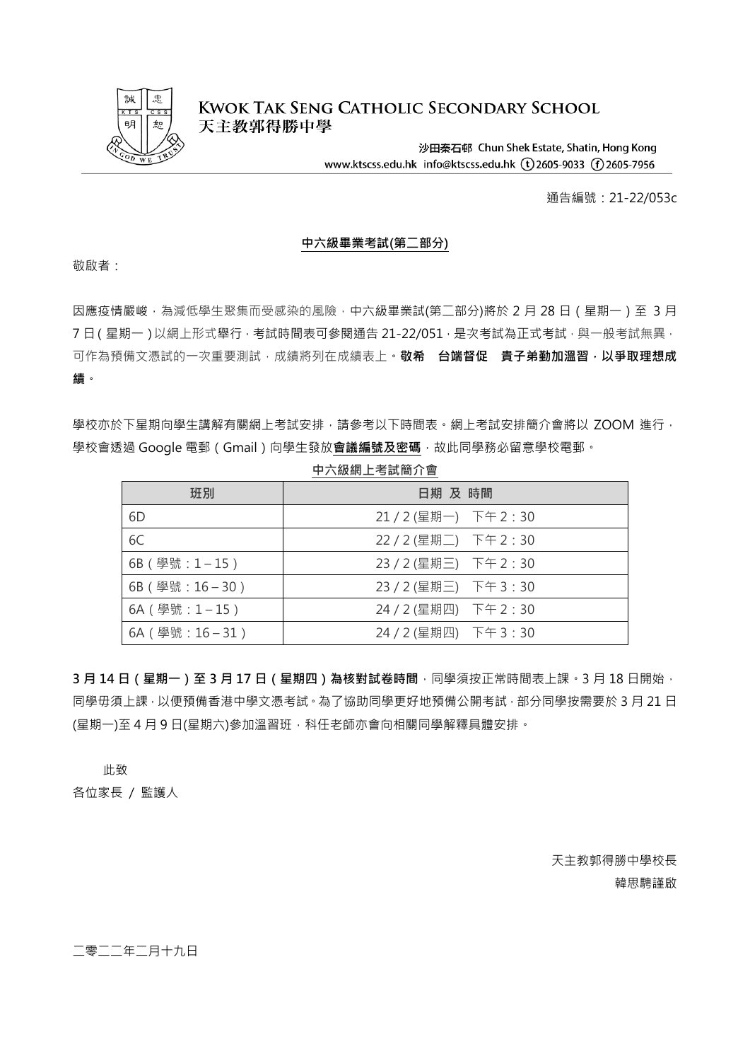

**KWOK TAK SENG CATHOLIC SECONDARY SCHOOL** 天主教郭得勝中學

> 沙田秦石邨 Chun Shek Estate, Shatin, Hong Kong www.ktscss.edu.hk info@ktscss.edu.hk (t)2605-9033 (f)2605-7956

> > 通告編號:21-22/053c

## **中六級畢業考試(第二部分)**

敬啟者:

因應疫情嚴峻,為減低學生聚集而受感染的風險,中六級畢業試(第二部分)將於 2 月 28 日 (星期一)至 3 月 7日(星期一)以網上形式舉行,考試時間表可參閱通告 21-22/051, 是次考試為正式考試,與一般考試無異, 可作為預備文憑試的一次重要測試,成績將列在成績表上。**敬希 台端督促 貴子弟勤加溫習,以爭取理想成 績**。

學校亦於下星期向學生講解有關網上考試安排,請參考以下時間表。網上考試安排簡介會將以 700M 進行, 學校會透過 Google 電郵 (Gmail)向學生發放會議編號及密碼,故此同學務必留意學校電郵。

| 班別             | 日期 及 時間                |
|----------------|------------------------|
| 6D             | 21 / 2 (星期一) 下午 2 : 30 |
| 6C             | 22 / 2 (星期二) 下午 2 : 30 |
| 6B (學號: 1-15)  | 23 / 2 (星期三) 下午 2 : 30 |
| 6B (學號: 16-30) | 23 / 2 (星期三) 下午 3 : 30 |
| 6A (學號: 1-15)  | 24 / 2 (星期四) 下午 2:30   |
| 6A (學號: 16-31) | 24 / 2 (星期四) 下午 3 : 30 |

**中六級網上考試簡介會**

**3 月 14 日(星期一)至 3 月 17 日(星期四)為核對試卷時間**,同學須按正常時間表上課。3 月 18 日開始, 同學毋須上課,以便預備香港中學文憑考試。為了協助同學更好地預備公開考試,部分同學按需要於 3 月 21 日 (星期一)至4月9日(星期六)參加溫習班,科任老師亦會向相關同學解釋具體安排。

此致

各位家長 / 監護人

天主教郭得勝中學校長 韓思騁謹啟

二零二二年二月十九日